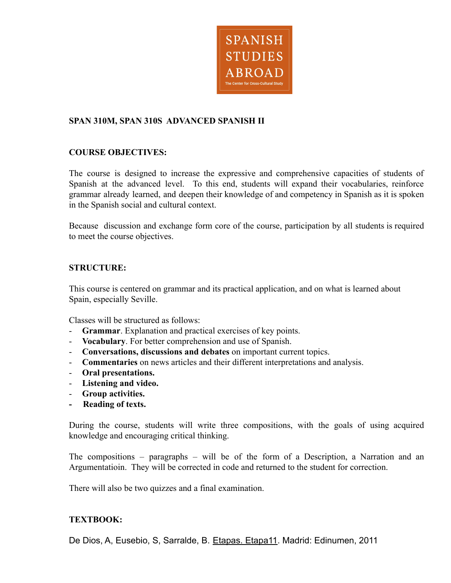

### **SPAN 310M, SPAN 310S ADVANCED SPANISH II**

### **COURSE OBJECTIVES:**

The course is designed to increase the expressive and comprehensive capacities of students of Spanish at the advanced level. To this end, students will expand their vocabularies, reinforce grammar already learned, and deepen their knowledge of and competency in Spanish as it is spoken in the Spanish social and cultural context.

Because discussion and exchange form core of the course, participation by all students is required to meet the course objectives.

### **STRUCTURE:**

This course is centered on grammar and its practical application, and on what is learned about Spain, especially Seville.

Classes will be structured as follows:

- **Grammar**. Explanation and practical exercises of key points.
- **Vocabulary**. For better comprehension and use of Spanish.
- **Conversations, discussions and debates** on important current topics.
- **Commentaries** on news articles and their different interpretations and analysis.
- **Oral presentations.**
- **Listening and video.**
- **Group activities.**
- **Reading of texts.**

During the course, students will write three compositions, with the goals of using acquired knowledge and encouraging critical thinking.

The compositions – paragraphs – will be of the form of a Description, a Narration and an Argumentatioin. They will be corrected in code and returned to the student for correction.

There will also be two quizzes and a final examination.

#### **TEXTBOOK:**

De Dios, A, Eusebio, S, Sarralde, B. Etapas. Etapa11. Madrid: Edinumen, 2011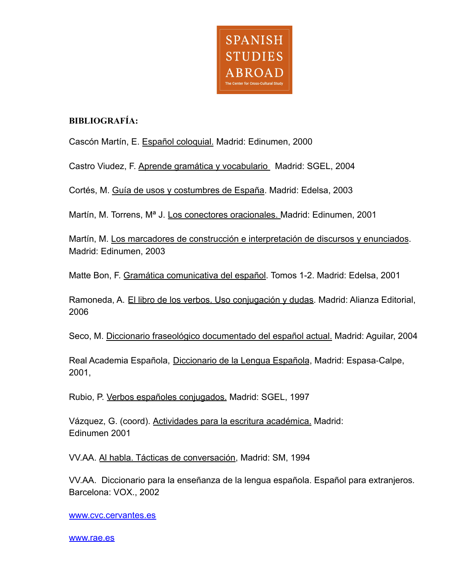

# **BIBLIOGRAFÍA:**

Cascón Martín, E. Español coloquial. Madrid: Edinumen, 2000

Castro Viudez, F. Aprende gramática y vocabulario Madrid: SGEL, 2004

Cortés, M. Guía de usos y costumbres de España. Madrid: Edelsa, 2003

Martín, M. Torrens, Mª J. Los conectores oracionales. Madrid: Edinumen, 2001

Martín, M. Los marcadores de construcción e interpretación de discursos y enunciados. Madrid: Edinumen, 2003

Matte Bon, F. Gramática comunicativa del español. Tomos 1-2. Madrid: Edelsa, 2001

Ramoneda, A. El libro de los verbos. Uso conjugación y dudas. Madrid: Alianza Editorial, 2006

Seco, M. Diccionario fraseológico documentado del español actual. Madrid: Aguilar, 2004

Real Academia Española, Diccionario de la Lengua Española, Madrid: Espasa‐Calpe, 2001,

Rubio, P. Verbos españoles conjugados. Madrid: SGEL, 1997

Vázquez, G. (coord). Actividades para la escritura académica. Madrid: Edinumen 2001

VV.AA. Al habla. Tácticas de conversación, Madrid: SM, 1994

VV.AA. Diccionario para la enseñanza de la lengua española. Español para extranjeros*.* Barcelona: VOX., 2002

[www.cvc.cervantes.es](http://www.cvc.cervantes.es)

[www.rae.es](http://www.rae.es)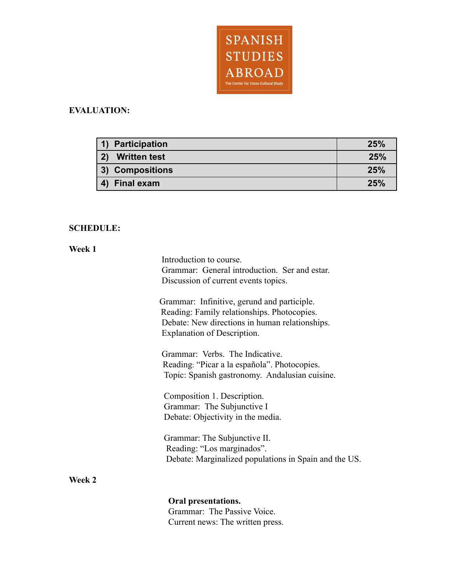

# **EVALUATION:**

| 1) Participation                  | 25% |
|-----------------------------------|-----|
| 2)<br><b>Written test</b>         | 25% |
| 3) Compositions                   | 25% |
| <b>Final exam</b><br>$\mathbf{A}$ | 25% |

# **SCHEDULE:**

### **Week 1**

|        | Introduction to course.                               |
|--------|-------------------------------------------------------|
|        | Grammar: General introduction. Ser and estar.         |
|        | Discussion of current events topics.                  |
|        |                                                       |
|        | Grammar: Infinitive, gerund and participle.           |
|        | Reading: Family relationships. Photocopies.           |
|        | Debate: New directions in human relationships.        |
|        | Explanation of Description.                           |
|        |                                                       |
|        | Grammar: Verbs. The Indicative.                       |
|        | Reading: "Picar a la española". Photocopies.          |
|        | Topic: Spanish gastronomy. Andalusian cuisine.        |
|        |                                                       |
|        | Composition 1. Description.                           |
|        | Grammar: The Subjunctive I                            |
|        | Debate: Objectivity in the media.                     |
|        |                                                       |
|        | Grammar: The Subjunctive II.                          |
|        | Reading: "Los marginados".                            |
|        | Debate: Marginalized populations in Spain and the US. |
|        |                                                       |
| Week 2 |                                                       |
|        |                                                       |
|        | Oral presentations.                                   |
|        | Grammar: The Passive Voice.                           |
|        | Current news: The written press.                      |